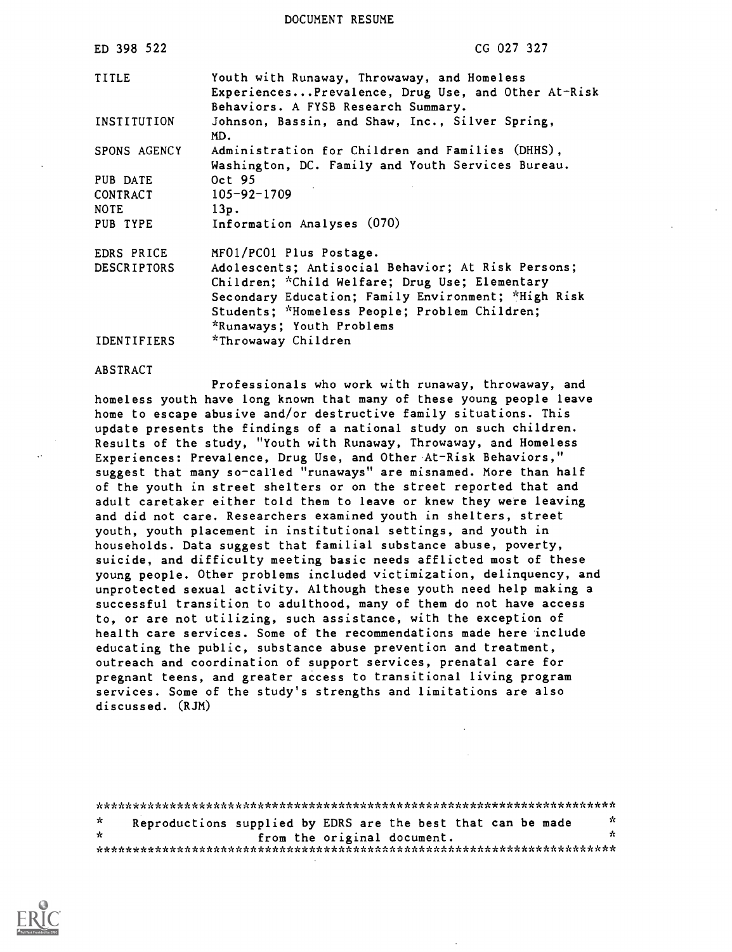DOCUMENT RESUME

| ED 398 522                          | CG 027 327                                                                                                                                                                                                                                                           |
|-------------------------------------|----------------------------------------------------------------------------------------------------------------------------------------------------------------------------------------------------------------------------------------------------------------------|
| TITLE                               | Youth with Runaway, Throwaway, and Homeless<br>ExperiencesPrevalence, Drug Use, and Other At-Risk<br>Behaviors. A FYSB Research Summary.                                                                                                                             |
| INSTITUTION                         | Johnson, Bassin, and Shaw, Inc., Silver Spring,<br>MD.                                                                                                                                                                                                               |
| SPONS AGENCY                        | Administration for Children and Families (DHHS),<br>Washington, DC. Family and Youth Services Bureau.                                                                                                                                                                |
| PUB DATE<br>CONTRACT<br><b>NOTE</b> | Oct 95<br>$105 - 92 - 1709$<br>13p.                                                                                                                                                                                                                                  |
| PUB TYPE                            | Information Analyses (070)                                                                                                                                                                                                                                           |
| EDRS PRICE<br><b>DESCRIPTORS</b>    | MF01/PC01 Plus Postage.<br>Adolescents; Antisocial Behavior; At Risk Persons;<br>Children; *Child Welfare; Drug Use; Elementary<br>Secondary Education; Family Environment; *High Risk<br>Students; *Homeless People; Problem Children;<br>*Runaways; Youth Problems |
| <b>IDENTIFIERS</b>                  | *Throwaway Children                                                                                                                                                                                                                                                  |

#### ABSTRACT

Professionals who work with runaway, throwaway, and homeless youth have long known that many of these young people leave home to escape abusive and/or destructive family situations. This update presents the findings of a national study on such children. Results of the study, "Youth with Runaway, Throwaway, and Homeless Experiences: Prevalence, Drug Use, and Other At-Risk Behaviors," suggest that many so-called "runaways" are misnamed. More than half of the youth in street shelters or on the street reported that and adult caretaker either told them to leave or knew they were leaving and did not care. Researchers examined youth in shelters, street youth, youth placement in institutional settings, and youth in households. Data suggest that familial substance abuse, poverty, suicide, and difficulty meeting basic needs afflicted most of these young people. Other problems included victimization, delinquency, and unprotected sexual activity. Although these youth need help making a successful transition to adulthood, many of them do not have access to, or are not utilizing, such assistance, with the exception of health care services. Some of the recommendations made here include educating the public, substance abuse prevention and treatment, outreach and coordination of support services, prenatal care for pregnant teens, and greater access to transitional living program services. Some of the study's strengths and limitations are also discussed. (RJM)

\*\*\*\*\*\*\*\*\*\*\*\*\*\*\*\*\*\*\*\*\*\*\*\*\*\*\*\*\*\*\*\*\*\*\*\*\*\*\*\*\*\*\*\*\*\*\*\*\*\*\*\*\*\*\*\*\*\*\*\*\*\*\*\*\*\*\*\*\*\*\*  $\mathcal{H}$ Reproductions supplied by EDRS are the best that can be made  $\phi$ from the original document. \*\*\*, c\* \*\* \*\*\*\*\*\*\*\*\* \*\* \*\*\*\*\*\*\*\*\* \*\*\*\*\*\*\*\*\* :\*\*\* \*\*\*\*\* \* \*\* \*\*\*\*\*\*\*\*\* \*\* \*\*\*\*\*\*\*\*k \*\*\*

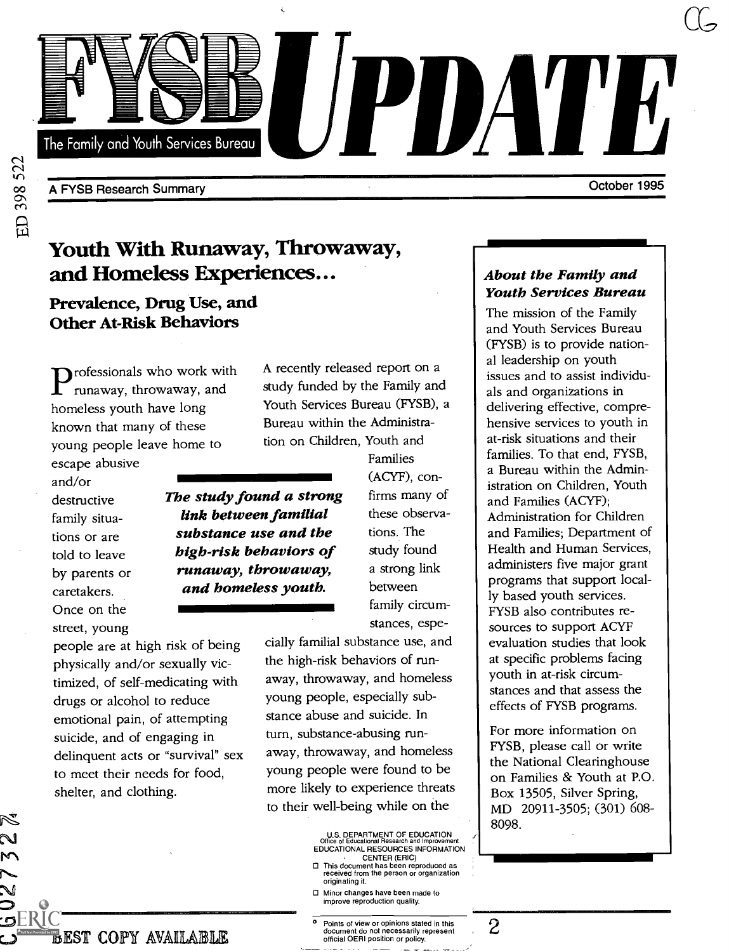

A FYSB Research Summary

Youth With Runaway, Throwaway, and Homeless Experiences...

# Prevalence, Drug Use, and Other At-Risk Behaviors

 $P_{\text{runaway, throwaway, and study in the time of the time.}$ professionals who work with homeless youth have long known that many of these young people leave home to escape abusive

and/or destructive family situations or are told to leave by parents or caretakers. Once on the street, young

A recently released report on a study funded by the Family and Youth Services Bureau (FYSB), a Bureau within the Administration on Children, Youth and

Tainine<br>
(ACYF) The study found a strong link between familial substance use and the high-risk behaviors of runaway, throwaway, and homeless youth.

people are at high risk of being physically and/or sexually victimized, of self-medicating with drugs or alcohol to reduce emotional pain, of attempting suicide, and of engaging in delinquent acts or "survival" sex to meet their needs for food, shelter, and clothing.

Families (ACYF), confirms many of these observations. The study found a strong link between family circumstances, espe-

cially familial substance use, and the high-risk behaviors of runaway, throwaway, and homeless young people, especially substance abuse and suicide. In turn, substance-abusing runaway, throwaway, and homeless young people were found to be more likely to experience threats to their well-being while on the

> U.S. DEPARTMENT OF EDUCATION Office of Educational Research and Improvement EDUCATIONAL RESOURCES INFORMATION CENTER (ERIC)

- This document has been reproduced as received from the person or organization originating it.
- Minor changes have been made to improve reproduction quality.
- Points of view or opinions stated in this document do not necessarily represent official OERI position or policy.
- 

## About the Family and Youth Services Bureau

October 1995

 $\mathcal{C}$ 

The mission of the Family and Youth Services Bureau (FYSB) is to provide national leadership on youth issues and to assist individuals and organizations in delivering effective, comprehensive services to youth in at-risk situations and their families. To that end, FYSB, a Bureau within the Administration on Children, Youth and Families (ACYF); Administration for Children and Families; Department of Health and Human Services, administers five major grant programs that support locally based youth services. FYSB also contributes resources to support ACYF evaluation studies that look at specific problems facing youth in at-risk circumstances and that assess the effects of FYSB programs.

For more information on FYSB, please call or write the National Clearinghouse on Families & Youth at P.O. Box 13505, Silver Spring, MD 20911-3505; (301) 608- 8098.

--1MI111M1--

**BEST COPY AVAILABLE** 

ERICد: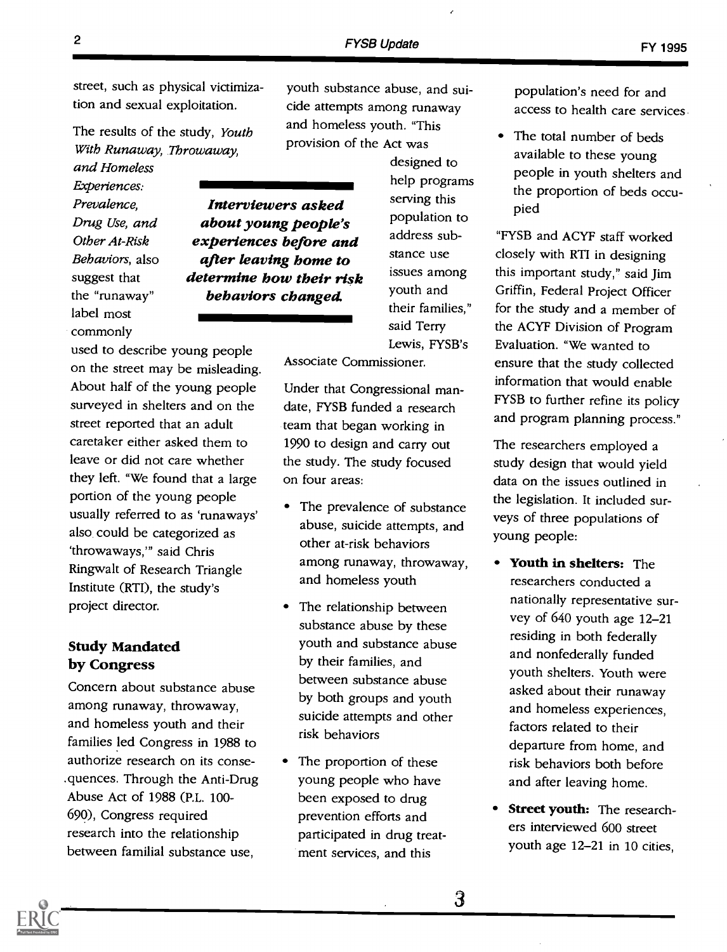street, such as physical victimization and sexual exploitation.

The results of the study, Youth With Runaway, Throwaway, and Homeless

Experiences: Prevalence, Drug Use, and Other At-Risk Behaviors, also suggest that the "runaway" label most commonly

youth substance abuse, and suicide attempts among runaway and homeless youth. "This provision of the Act was

Interviewers asked about young people's experiences before and after leaving home to determine how their risk behaviors changed.

designed to help programs serving this population to address substance use issues among youth and their families," said Terry Lewis, FYSB's

Associate Commissioner.

used to describe young people on the street may be misleading. About half of the young people surveyed in shelters and on the street reported that an adult caretaker either asked them to leave or did not care whether they left. "We found that a large portion of the young people usually referred to as 'runaways' also could be categorized as `throwaways," said Chris Ringwalt of Research Triangle Institute (RTI), the study's project director.

#### Study Mandated by Congress

Concern about substance abuse among runaway, throwaway, and homeless youth and their families led Congress in 1988 to authorize research on its consequences. Through the Anti-Drug Abuse Act of 1988 (P.L. 100- 690), Congress required research into the relationship between familial substance use,

Under that Congressional mandate, FYSB funded a research team that began working in 1990 to design and carry out the study. The study focused on four areas:

- The prevalence of substance abuse, suicide attempts, and other at-risk behaviors among runaway, throwaway, and homeless youth
- The relationship between substance abuse by these youth and substance abuse by their families, and between substance abuse by both groups and youth suicide attempts and other risk behaviors
- The proportion of these young people who have been exposed to drug prevention efforts and participated in drug treatment services, and this

population's need for and access to health care services

• The total number of beds available to these young people in youth shelters and the proportion of beds occupied

"FYSB and ACYF staff worked closely with RTI in designing this important study," said Jim Griffin, Federal Project Officer for the study and a member of the ACYF Division of Program Evaluation. "We wanted to ensure that the study collected information that would enable FYSB to further refine its policy and program planning process."

The researchers employed a study design that would yield data on the issues outlined in the legislation. It included surveys of three populations of young people:

- Youth in shelters: The researchers conducted a nationally representative survey of 640 youth age 12-21 residing in both federally and nonfederally funded youth shelters. Youth were asked about their runaway and homeless experiences, factors related to their departure from home, and risk behaviors both before and after leaving home.
- Street youth: The researchers interviewed 600 street youth age 12-21 in 10 cities,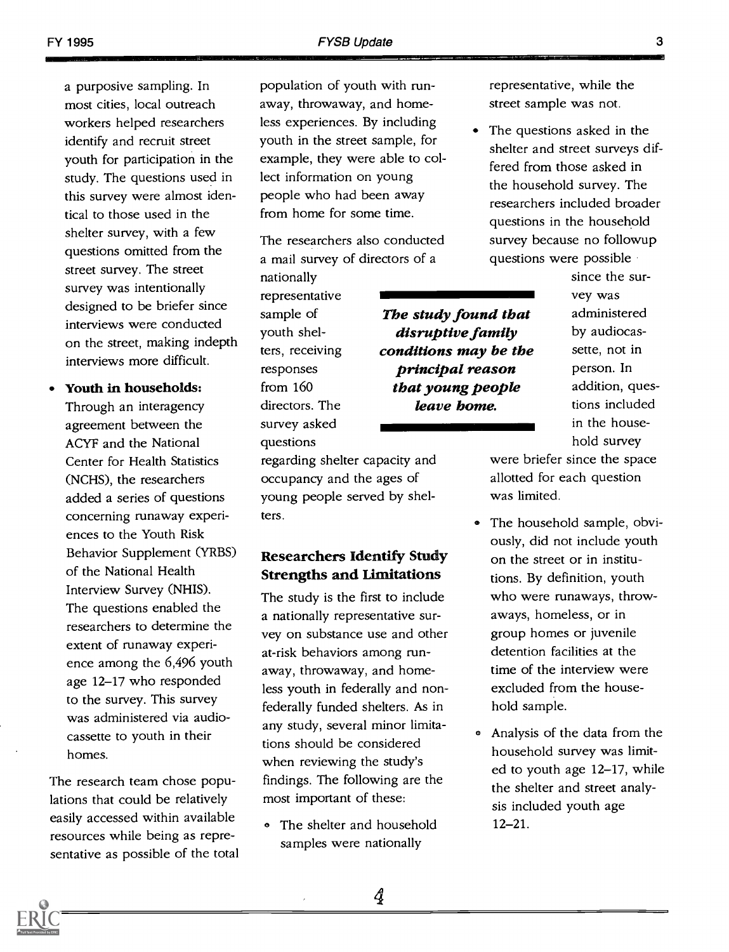a purposive sampling. In most cities, local outreach workers helped researchers identify and recruit street youth for participation in the study. The questions used in this survey were almost identical to those used in the shelter survey, with a few questions omitted from the street survey. The street survey was intentionally designed to be briefer since interviews were conducted on the street, making indepth interviews more difficult.

Youth in households:

Through an interagency agreement between the ACYF and the National Center for Health Statistics (NCHS), the researchers added a series of questions concerning runaway experiences to the Youth Risk Behavior Supplement (YRBS) of the National Health Interview Survey (NHIS). The questions enabled the researchers to determine the extent of runaway experience among the 6,496 youth age 12-17 who responded to the survey. This survey was administered via audiocassette to youth in their homes.

The research team chose populations that could be relatively easily accessed within available resources while being as representative as possible of the total

population of youth with runaway, throwaway, and homeless experiences. By including youth in the street sample, for example, they were able to collect information on young people who had been away from home for some time.

The researchers also conducted a mail survey of directors of a

> The study found that disruptive family conditions may be the principal reason that young people

nationally representative sample of youth shelters, receiving responses from 160 directors. The survey asked questions

regarding shelter capacity and occupancy and the ages of young people served by shelters.

## Researchers Identify Study Strengths and Limitations

The study is the first to include a nationally representative survey on substance use and other at-risk behaviors among runaway, throwaway, and homeless youth in federally and nonfederally funded shelters. As in any study, several minor limitations should be considered when reviewing the study's findings. The following are the most important of these:

• The shelter and household samples were nationally

representative, while the street sample was not.

The questions asked in the shelter and street surveys differed from those asked in the household survey. The researchers included broader questions in the household survey because no followup questions were possible conducted survey because no followup<br>ctors of a questions were possible<br>since the survey was<br>**The study found that** administered

since the survey was administered by audiocassette, not in person. In addition, questions included in the household survey **leave bome.** tions included<br>in the house-<br>hold survey

> were briefer since the space allotted for each question was limited.

- The household sample, obviously, did not include youth on the street or in institutions. By definition, youth who were runaways, throwaways, homeless, or in group homes or juvenile detention facilities at the time of the interview were excluded from the household sample.
- Analysis of the data from the household survey was limited to youth age 12-17, while the shelter and street analysis included youth age 12-21.

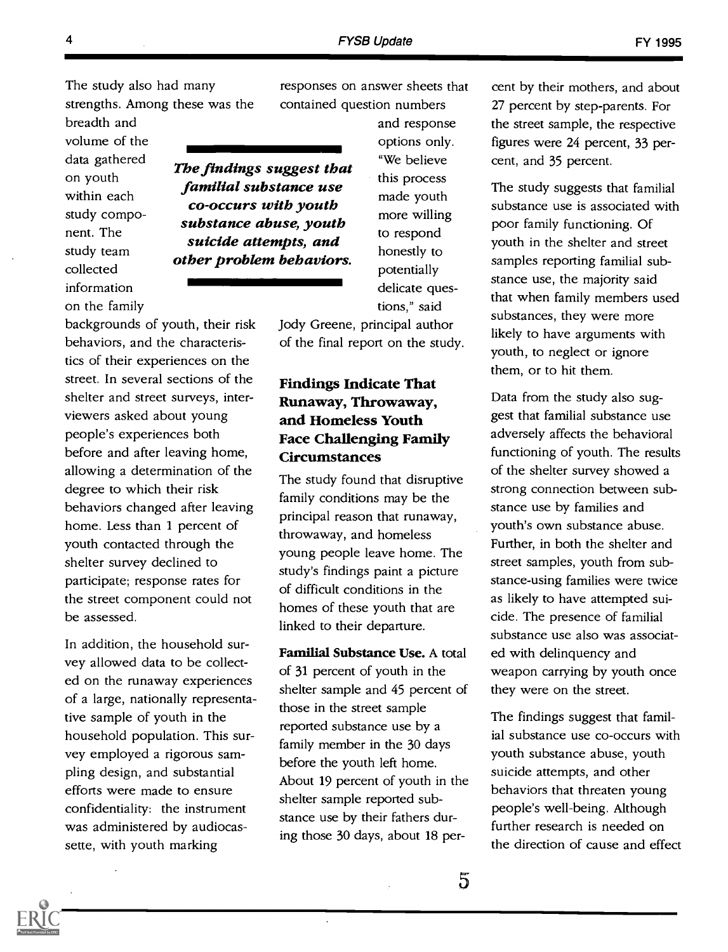responses on answer sheets that contained question numbers

The study also had many strengths. Among these was the contain

breadth and volume of the data gathered on youth within each study component. The study team collected information on the family

and response options only. "We believe this process made youth The findings suggest that familial substance use

co-occurs with youth substance abuse, youth suicide attempts, and other problem behaviors.

to respond honestly to potentially delicate questions," said Jody Greene, principal author

more willing

of the final report on the study.

## Findings Indicate That Runaway, Throwaway, and Homeless Youth Face Challenging Family Circumstances

The study found that disruptive family conditions may be the principal reason that runaway, throwaway, and homeless young people leave home. The study's findings paint a picture of difficult conditions in the homes of these youth that are linked to their departure.

Familial Substance Use. A total of 31 percent of youth in the shelter sample and 45 percent of those in the street sample reported substance use by a family member in the 30 days before the youth left home. About 19 percent of youth in the shelter sample reported substance use by their fathers during those 30 days, about 18 percent by their mothers, and about 27 percent by step-parents. For the street sample, the respective figures were 24 percent, 33 percent, and 35 percent.

The study suggests that familial substance use is associated with poor family functioning. Of youth in the shelter and street samples reporting familial substance use, the majority said that when family members used substances, they were more likely to have arguments with youth, to neglect or ignore them, or to hit them.

Data from the study also suggest that familial substance use adversely affects the behavioral functioning of youth. The results of the shelter survey showed a strong connection between substance use by families and youth's own substance abuse. Further, in both the shelter and street samples, youth from substance-using families were twice as likely to have attempted suicide. The presence of familial substance use also was associated with delinquency and weapon carrying by youth once they were on the street.

The findings suggest that familial substance use co-occurs with youth substance abuse, youth suicide attempts, and other behaviors that threaten young people's well-being. Although further research is needed on the direction of cause and effect

tics of their experiences on the street. In several sections of the shelter and street surveys, interviewers asked about young people's experiences both before and after leaving home, allowing a determination of the degree to which their risk behaviors changed after leaving home. Less than 1 percent of youth contacted through the shelter survey declined to participate; response rates for the street component could not be assessed.

backgrounds of youth, their risk behaviors, and the characteris-

In addition, the household survey allowed data to be collected on the runaway experiences of a large, nationally representative sample of youth in the household population. This survey employed a rigorous sampling design, and substantial efforts were made to ensure confidentiality: the instrument was administered by audiocassette, with youth marking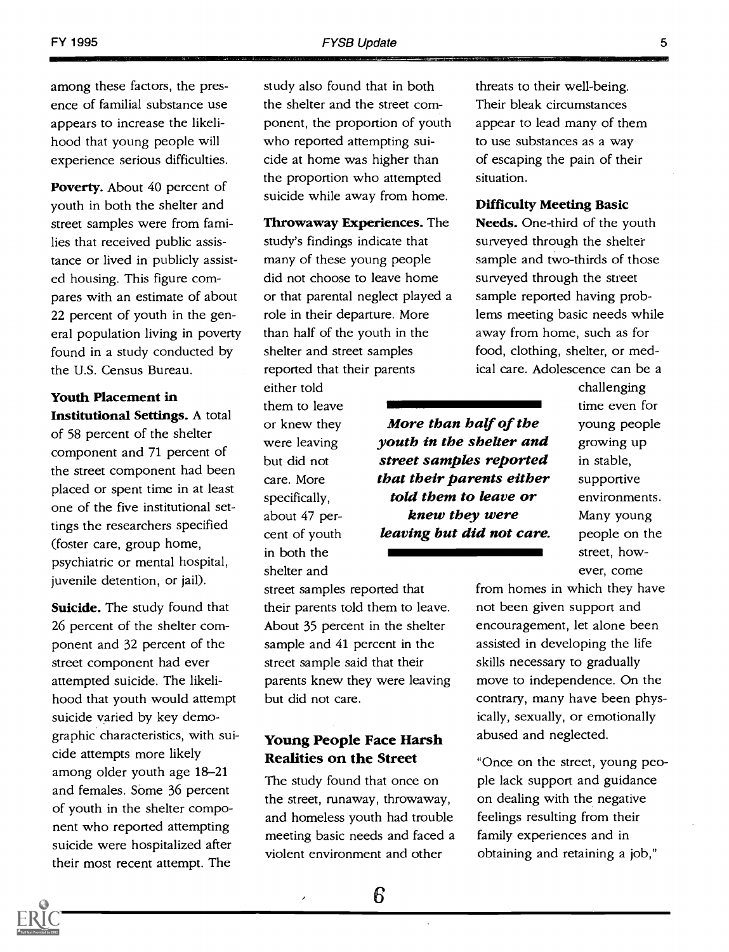among these factors, the presence of familial substance use appears to increase the likelihood that young people will experience serious difficulties.

Poverty. About 40 percent of youth in both the shelter and street samples were from families that received public assistance or lived in publicly assisted housing. This figure compares with an estimate of about 22 percent of youth in the general population living in poverty found in a study conducted by the U.S. Census Bureau.

Youth Placement in Institutional Settings. A total of 58 percent of the shelter component and 71 percent of

the street component had been placed or spent time in at least one of the five institutional settings the researchers specified (foster care, group home, psychiatric or mental hospital, juvenile detention, or jail).

Suicide. The study found that 26 percent of the shelter component and 32 percent of the street component had ever attempted suicide. The likelihood that youth would attempt suicide varied by key demographic characteristics, with suicide attempts more likely among older youth age 18-21 and females. Some 36 percent of youth in the shelter component who reported attempting suicide were hospitalized after their most recent attempt. The

study also found that in both the shelter and the street component, the proportion of youth who reported attempting suicide at home was higher than the proportion who attempted suicide while away from home.

Throwaway Experiences. The study's findings indicate that many of these young people did not choose to leave home or that parental neglect played a role in their departure. More than half of the youth in the shelter and street samples reported that their parents

either told them to leave or knew they were leaving but did not care. More specifically, about 47 percent of youth in both the shelter and

street samples reported that their parents told them to leave. About 35 percent in the shelter sample and 41 percent in the leaving but did not care.

street sample said that their

Young People Face Harsh Realities on the Street

The study found that once on the street, runaway, throwaway, and homeless youth had trouble meeting basic needs and faced a violent environment and other

but did not care.

 $\overline{ }$ 

threats to their well-being. Their bleak circumstances appear to lead many of them to use substances as a way of escaping the pain of their situation.

#### Difficulty Meeting Basic

Needs. One-third of the youth surveyed through the shelter sample and two-thirds of those surveyed through the street sample reported having problems meeting basic needs while away from home, such as for food, clothing, shelter, or medical care. Adolescence can be a

> challenging time even for young people growing up in stable, supportive environments. Many young people on the street, however, come

parents knew they were leaving move from homes in which they have not been given support and encouragement, let alone been assisted in developing the life skills necessary to gradually move to independence. On the contrary, many have been physically, sexually, or emotionally abused and neglected.

> "Once on the street, young people lack support and guidance on dealing with the negative feelings resulting from their family experiences and in obtaining and retaining a job,"

More than half of the youth in the shelter and street samples reported that their parents either told them to leave or knew they were

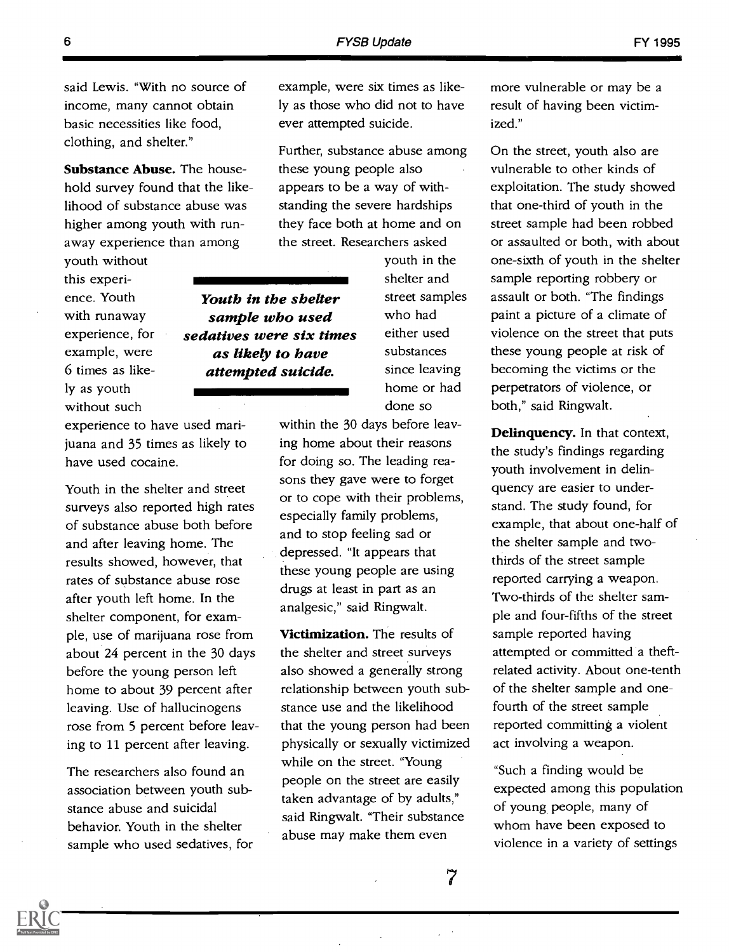said Lewis. "With no source of income, many cannot obtain basic necessities like food, clothing, and shelter."

Substance Abuse. The household survey found that the likelihood of substance abuse was higher among youth with runaway experience than among

youth without this experience. Youth with runaway experience, for example, were 6 times as likely as youth without such

experience to have used marijuana and 35 times as likely to have used cocaine.

Youth in the shelter and street surveys also reported high rates of substance abuse both before and after leaving home. The results showed, however, that rates of substance abuse rose after youth left home. In the shelter component, for example, use of marijuana rose from about 24 percent in the 30 days before the young person left home to about 39 percent after leaving. Use of hallucinogens rose from 5 percent before leaving to 11 percent after leaving.

The researchers also found an association between youth substance abuse and suicidal behavior. Youth in the shelter sample who used sedatives, for example, were six times as likely as those who did not to have ever attempted suicide.

Further, substance abuse among these young people also appears to be a way of withstanding the severe hardships they face both at home and on the street. Researchers asked

Youth in the shelter sample who used sedatives were six times as likely to have attempted suicide.

youth in the shelter and street samples who had either used substances since leaving home or had done so

within the 30 days before leaving home about their reasons for doing so. The leading reasons they gave were to forget or to cope with their problems, especially family problems, and to stop feeling sad or depressed. "It appears that these young people are using drugs at least in part as an analgesic," said Ringwalt.

Victimization. The results of the shelter and street surveys also showed a generally strong relationship between youth substance use and the likelihood that the young person had been physically or sexually victimized while on the street. "Young people on the street are easily taken advantage of by adults," said Ringwalt. "Their substance abuse may make them even

more vulnerable or may be a result of having been victimized."

On the street, youth also are vulnerable to other kinds of exploitation. The study showed that one-third of youth in the street sample had been robbed or assaulted or both, with about one-sixth of youth in the shelter sample reporting robbery or assault or both. "The findings paint a picture of a climate of violence on the street that puts these young people at risk of becoming the victims or the perpetrators of violence, or both," said Ringwalt.

Delinquency. In that context, the study's findings regarding youth involvement in delinquency are easier to understand. The study found, for example, that about one-half of the shelter sample and twothirds of the street sample reported carrying a weapon. Two-thirds of the shelter sample and four-fifths of the street sample reported having attempted or committed a theft related activity. About one-tenth of the shelter sample and onefourth of the street sample reported committing a violent act involving a weapon.

"Such a finding would be expected among this population of young people, many of whom have been exposed to violence in a variety of settings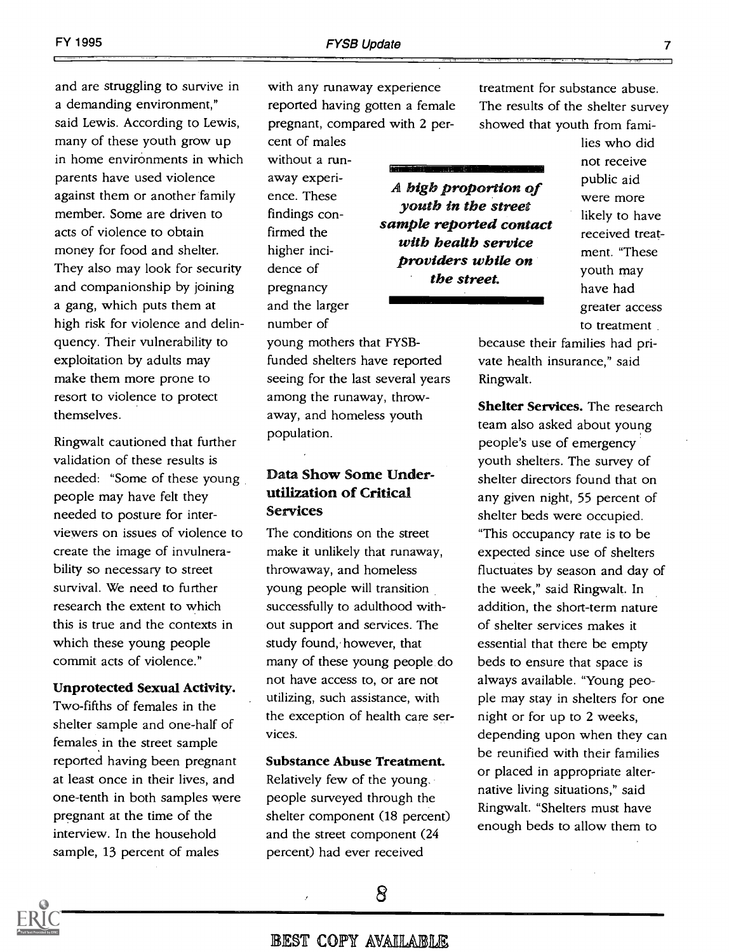and are struggling to survive in a demanding environment," said Lewis. According to Lewis, many of these youth grow up in home environments in which parents have used violence against them or another family member. Some are driven to acts of violence to obtain money for food and shelter. They also may look for security and companionship by joining a gang, which puts them at high risk for violence and delinquency. Their vulnerability to exploitation by adults may make them more prone to resort to violence to protect themselves.

Ringwalt cautioned that further validation of these results is needed: "Some of these young people may have felt they needed to posture for interviewers on issues of violence to create the image of invulnerability so necessary to street survival. We need to further research the extent to which this is true and the contexts in which these young people commit acts of violence."

#### Unprotected Sexual Activity.

Two-fifths of females in the shelter sample and one-half of females in the street sample reported having been pregnant at least once in their lives, and one-tenth in both samples were pregnant at the time of the interview. In the household sample, 13 percent of males

with any runaway experience reported having gotten a female pregnant, compared with 2 per-

cent of males without a runaway experience. These findings confirmed the higher incidence of pregnancy and the larger number of

A high proportion of youth in the street sample reported contact with health service providers while on the street.

lies who did not receive public aid were more likely to have received treatment. "These youth may have had greater access to treatment nav<br>ore

young mothers that FYSBfunded shelters have reported seeing for the last several years among the runaway, throwaway, and homeless youth population.

#### Data Show Some Underutilization of Critical Services

The conditions on the street make it unlikely that runaway, throwaway, and homeless young people will transition successfully to adulthood without support and services. The study found, however, that many of these young people do not have access to, or are not utilizing, such assistance, with the exception of health care services.

#### Substance Abuse Treatment.

Relatively few of the young. people surveyed through the shelter component (18 percent) and the street component (24 percent) had ever received

because their families had private health insurance," said Ringwalt.

treatment for substance abuse. The results of the shelter survey showed that youth from fami-

Shelter Services. The research team also asked about young people's use of emergency youth shelters. The survey of shelter directors found that on any given night, 55 percent of shelter beds were occupied. "This occupancy rate is to be expected since use of shelters fluctuates by season and day of the week," said Ringwalt. In addition, the short-term nature of shelter services makes it essential that there be empty beds to ensure that space is always available. "Young people may stay in shelters for one night or for up to 2 weeks, depending upon when they can be reunified with their families or placed in appropriate alternative living situations," said Ringwalt. "Shelters must have enough beds to allow them to

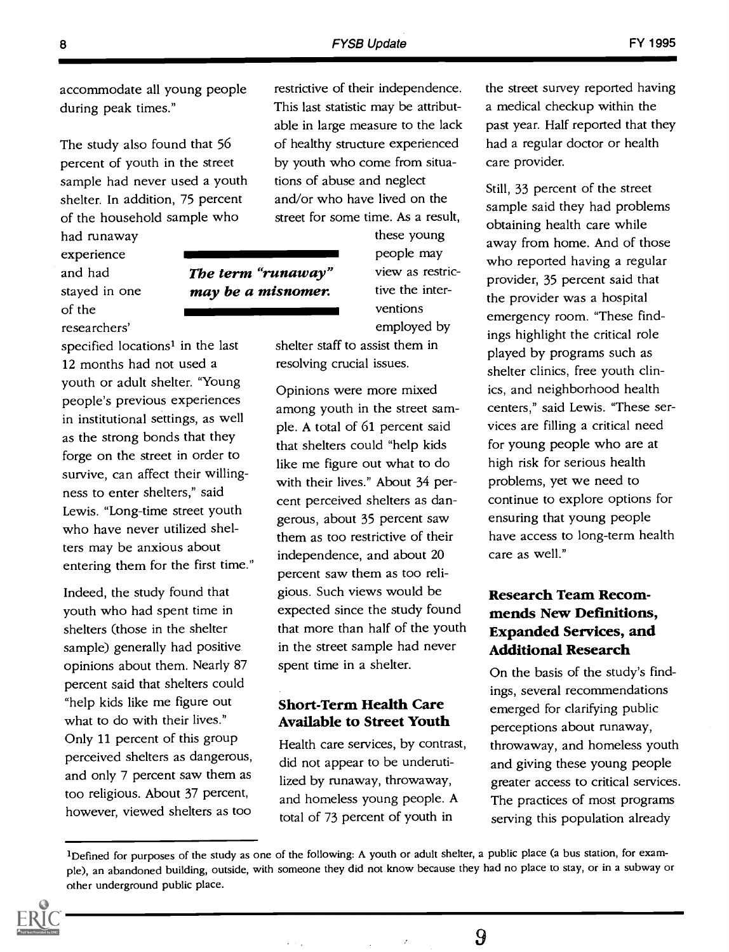The study also found that 56 percent of youth in the street sample had never used a youth shelter. In addition, 75 percent of the household sample who

had runaway experience and had stayed in one of the researchers'

specified locations<sup>1</sup> in the last 12 months had not used a youth or adult shelter. "Young people's previous experiences in institutional settings, as well as the strong bonds that they forge on the street in order to survive, can affect their willingness to enter shelters," said Lewis. "Long-time street youth who have never utilized shelters may be anxious about entering them for the first time."

Indeed, the study found that youth who had spent time in shelters (those in the shelter sample) generally had positive opinions about them. Nearly 87 percent said that shelters could "help kids like me figure out what to do with their lives." Only 11 percent of this group perceived shelters as dangerous, and only 7 percent saw them as too religious. About 37 percent, however, viewed shelters as too

restrictive of their independence. This last statistic may be attributable in large measure to the lack of healthy structure experienced by youth who come from situations of abuse and neglect and/or who have lived on the street for some time. As a result,

these young people may view as restrictive the interventions employed by **The term "runaway"** view may be a misnomer. Iive

> shelter staff to assist them in resolving crucial issues.

Opinions were more mixed among youth in the street sample. A total of 61 percent said that shelters could "help kids like me figure out what to do with their lives." About 34 percent perceived shelters as dangerous, about 35 percent saw them as too restrictive of their independence, and about 20 percent saw them as too religious. Such views would be expected since the study found that more than half of the youth in the street sample had never spent time in a shelter.

#### Short-Term Health Care Available to Street Youth

Health care services, by contrast, did not appear to be underutilized by runaway, throwaway, and homeless young people. A total of 73 percent of youth in

the street survey reported having a medical checkup within the past year. Half reported that they had a regular doctor or health care provider.

Still, 33 percent of the street sample said they had problems obtaining health care while away from home. And of those who reported having a regular provider, 35 percent said that the provider was a hospital emergency room. "These findings highlight the critical role played by programs such as shelter clinics, free youth clinics, and neighborhood health centers," said Lewis. "These services are filling a critical need for young people who are at high risk for serious health problems, yet we need to continue to explore options for ensuring that young people have access to long-term health care as well."

# Research Team Recommends New Definitions, Expanded Services, and Additional Research

On the basis of the study's findings, several recommendations emerged for clarifying public perceptions about runaway, throwaway, and homeless youth and giving these young people greater access to critical services. The practices of most programs serving this population already

 $\bar{z}$ 



<sup>&</sup>lt;sup>1</sup>Defined for purposes of the study as one of the following: A youth or adult shelter, a public place (a bus station, for example), an abandoned building, outside, with someone they did not know because they had no place to stay, or in a subway or other underground public place.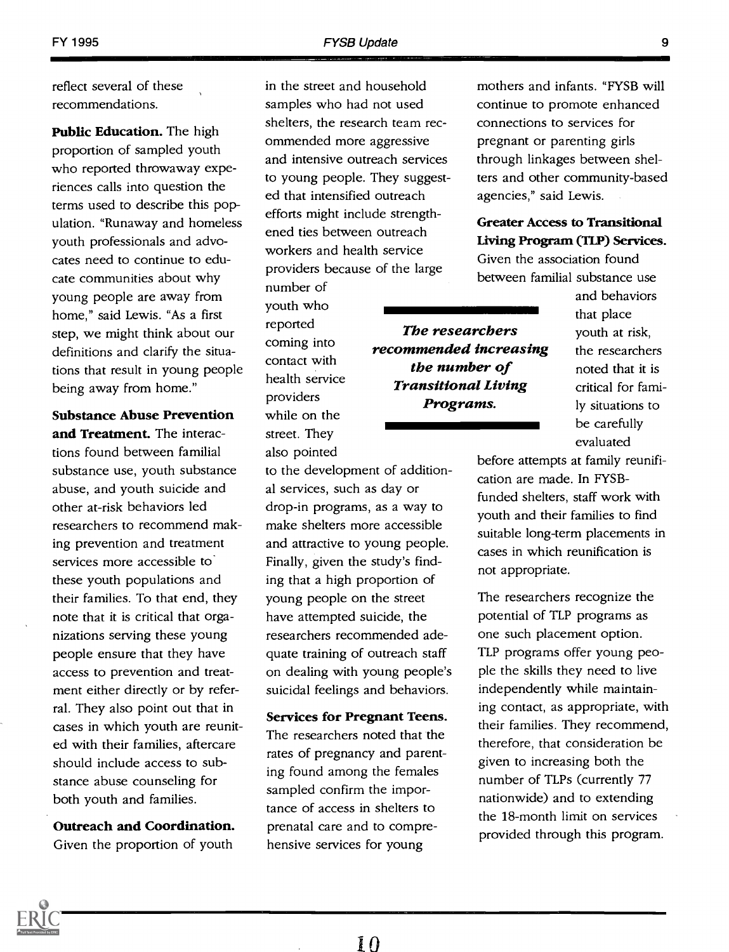reflect several of these recommendations.

Public Education. The high proportion of sampled youth who reported throwaway experiences calls into question the terms used to describe this population. "Runaway and homeless youth professionals and advocates need to continue to educate communities about why young people are away from home," said Lewis. "As a first step, we might think about our definitions and clarify the situations that result in young people being away from home."

Substance Abuse Prevention

and Treatment. The interactions found between familial substance use, youth substance abuse, and youth suicide and other at-risk behaviors led researchers to recommend making prevention and treatment services more accessible to these youth populations and their families. To that end, they note that it is critical that organizations serving these young people ensure that they have access to prevention and treatment either directly or by referral. They also point out that in cases in which youth are reunited with their families, aftercare should include access to substance abuse counseling for both youth and families.

Outreach and Coordination. Given the proportion of youth

in the street and household samples who had not used shelters, the research team recommended more aggressive and intensive outreach services to young people. They suggested that intensified outreach efforts might include strengthened ties between outreach workers and health service providers because of the large

number of youth who reported coming into contact with health service providers while on the street. They also pointed

to the development of additional services, such as day or drop-in programs, as a way to make shelters more accessible and attractive to young people. Finally, given the study's finding that a high proportion of young people on the street have attempted suicide, the researchers recommended adequate training of outreach staff on dealing with young people's suicidal feelings and behaviors.

Services for Pregnant Teens. The researchers noted that the rates of pregnancy and parenting found among the females sampled confirm the importance of access in shelters to prenatal care and to comprehensive services for young

mothers and infants. "FYSB will continue to promote enhanced connections to services for pregnant or parenting girls through linkages between shelters and other community-based agencies," said Lewis.

#### Greater Access to Transitional Living Program (TLP) Services.

Given the association found between familial substance use

> and behaviors that place youth at risk, the researchers noted that it is critical for family situations to be carefully evaluated

before attempts at family reunification are made. In FYSBfunded shelters, staff work with youth and their families to find suitable long-term placements in cases in which reunification is not appropriate.

The researchers recognize the potential of TLP programs as one such placement option. TLP programs offer young people the skills they need to live independently while maintaining contact, as appropriate, with their families. They recommend, therefore, that consideration be given to increasing both the number of TLPs (currently 77 nationwide) and to extending the 18-month limit on services provided through this program.

The researchers recommended increasing the number of Transitional Living Programs.

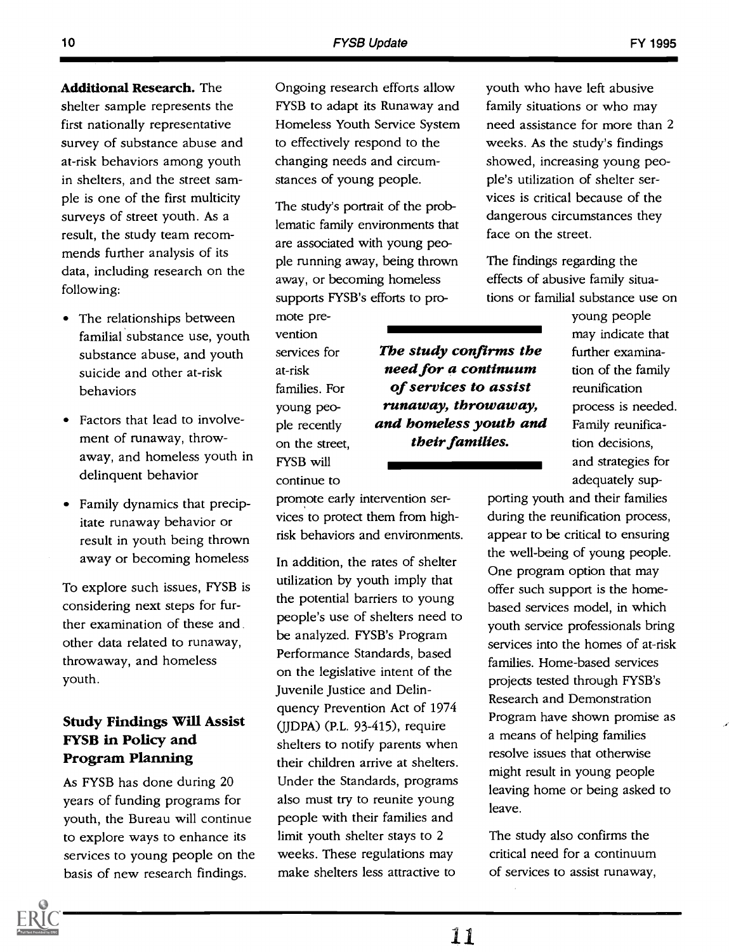Additional Research. The shelter sample represents the first nationally representative survey of substance abuse and at-risk behaviors among youth in shelters, and the street sample is one of the first multicity surveys of street youth. As a result, the study team recommends further analysis of its data, including research on the following:

- The relationships between familial substance use, youth substance abuse, and youth suicide and other at-risk behaviors
- Factors that lead to involvement of runaway, throwaway, and homeless youth in delinquent behavior
- Family dynamics that precipitate runaway behavior or result in youth being thrown away or becoming homeless

To explore such issues, FYSB is considering next steps for further examination of these and other data related to runaway, throwaway, and homeless youth.

## Study Findings Will Assist FYSB in Policy and Program Planning

As FYSB has done during 20 years of funding programs for youth, the Bureau will continue to explore ways to enhance its services to young people on the basis of new research findings.

Ongoing research efforts allow FYSB to adapt its Runaway and Homeless Youth Service System to effectively respond to the changing needs and circumstances of young people.

The study's portrait of the problematic family environments that are associated with young people running away, being thrown away, or becoming homeless supports FYSB's efforts to pro-

mote prevention services for at-risk families. For young people recently on the street, FYSB will continue to

The study confirms the need for a continuum of services to assist runaway, throwaway, and homeless youth and their families.

promote early intervention services to protect them from highrisk behaviors and environments.

In addition, the rates of shelter utilization by youth imply that the potential barriers to young people's use of shelters need to be analyzed. FYSB's Program Performance Standards, based on the legislative intent of the Juvenile Justice and Delinquency Prevention Act of 1974 (JJDPA) (P.L. 93-415), require shelters to notify parents when their children arrive at shelters. Under the Standards, programs also must try to reunite young people with their families and limit youth shelter stays to 2 weeks. These regulations may make shelters less attractive to

youth who have left abusive family situations or who may need assistance for more than 2 weeks. As the study's findings showed, increasing young people's utilization of shelter services is critical because of the dangerous circumstances they face on the street.

The findings regarding the effects of abusive family situations or familial substance use on

young people may indicate that further examination of the family reunification process is needed. Family reunification decisions, and strategies for adequately sup-

porting youth and their families during the reunification process, appear to be critical to ensuring the well-being of young people. One program option that may offer such support is the homebased services model, in which youth service professionals bring services into the homes of at-risk families. Home-based services projects tested through FYSB's Research and Demonstration Program have shown promise as a means of helping families resolve issues that otherwise might result in young people leaving home or being asked to leave.

The study also confirms the critical need for a continuum of services to assist runaway,

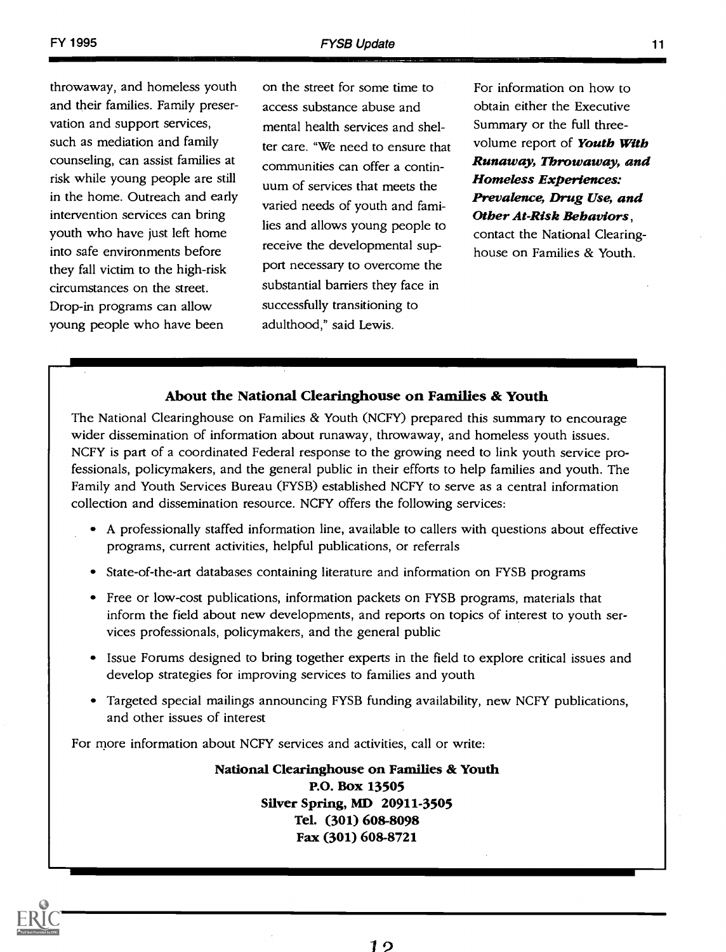throwaway, and homeless youth and their families. Family preservation and support services, such as mediation and family counseling, can assist families at risk while young people are still in the home. Outreach and early intervention services can bring youth who have just left home into safe environments before they fall victim to the high-risk circumstances on the street. Drop-in programs can allow young people who have been

on the street for some time to access substance abuse and mental health services and shelter care. "We need to ensure that communities can offer a continuum of services that meets the varied needs of youth and families and allows young people to receive the developmental support necessary to overcome the substantial barriers they face in successfully transitioning to adulthood," said Lewis.

For information on how to obtain either the Executive Summary or the full threevolume report of **Youth With** Runaway, Throwaway, and Homeless Experiences: Prevalence, Drug Use, and Other At-Risk Behaviors, contact the National Clearinghouse on Families & Youth.

#### About the National Clearinghouse on Families & Youth

The National Clearinghouse on Families & Youth (NCFY) prepared this summary to encourage wider dissemination of information about runaway, throwaway, and homeless youth issues. NCFY is part of a coordinated Federal response to the growing need to link youth service professionals, policymakers, and the general public in their efforts to help families and youth. The Family and Youth Services Bureau (FYSB) established NCFY to serve as a central information collection and dissemination resource. NCFY offers the following services:

- A professionally staffed information line, available to callers with questions about effective programs, current activities, helpful publications, or referrals
- State-of-the-art databases containing literature and information on FYSB programs
- Free or low-cost publications, information packets on FYSB programs, materials that inform the field about new developments, and reports on topics of interest to youth services professionals, policymakers, and the general public
- Issue Forums designed to bring together experts in the field to explore critical issues and develop strategies for improving services to families and youth
- Targeted special mailings announcing FYSB funding availability, new NCFY publications, and other issues of interest

For more information about NCFY services and activities, call or write:

National Clearinghouse on Families & Youth P.O. Box 13505 Silver Spring, MI) 20911-3505 Tel. (301) 608-8098 Fax (301) 608-8721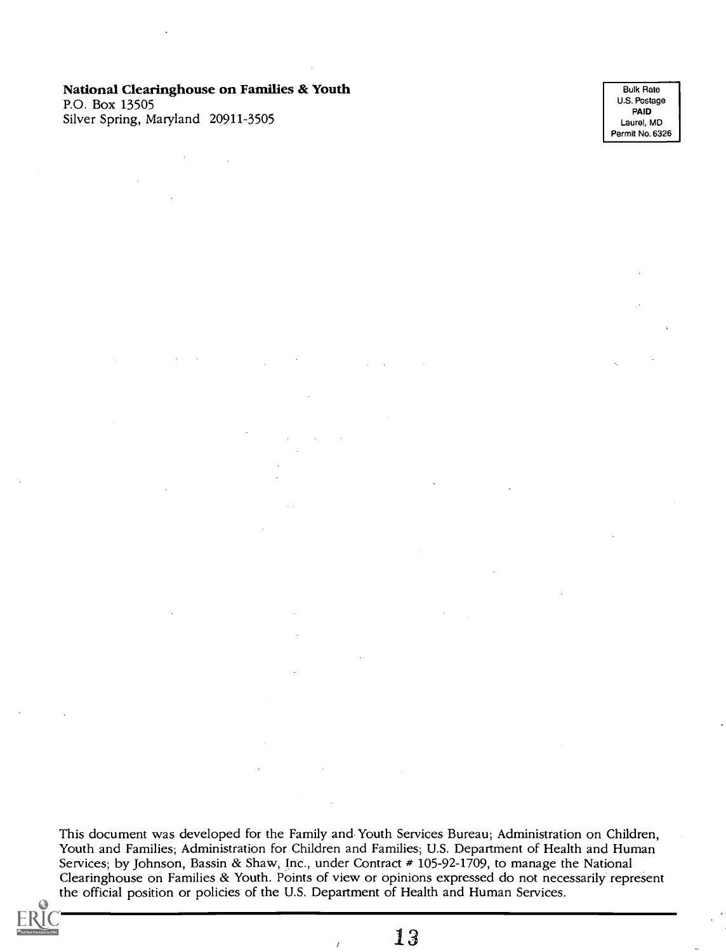#### National Clearinghouse on Families & Youth

P.O. Box 13505 Silver Spring, Maryland 20911-3505

Bulk Rate U.S. Postage PAID Laurel, MD Permit No. 6326

This document was developed for the Family and Youth Services Bureau; Administration on Children, Youth and Families; Administration for Children and Families; U.S. Department of Health and Human Services; by Johnson, Bassin & Shaw, Inc., under Contract # 105-92-1709, to manage the National Clearinghouse on Families & Youth. Points of view or opinions expressed do not necessarily represent the official position or policies of the U.S. Department of Health and Human Services.

 $\lambda$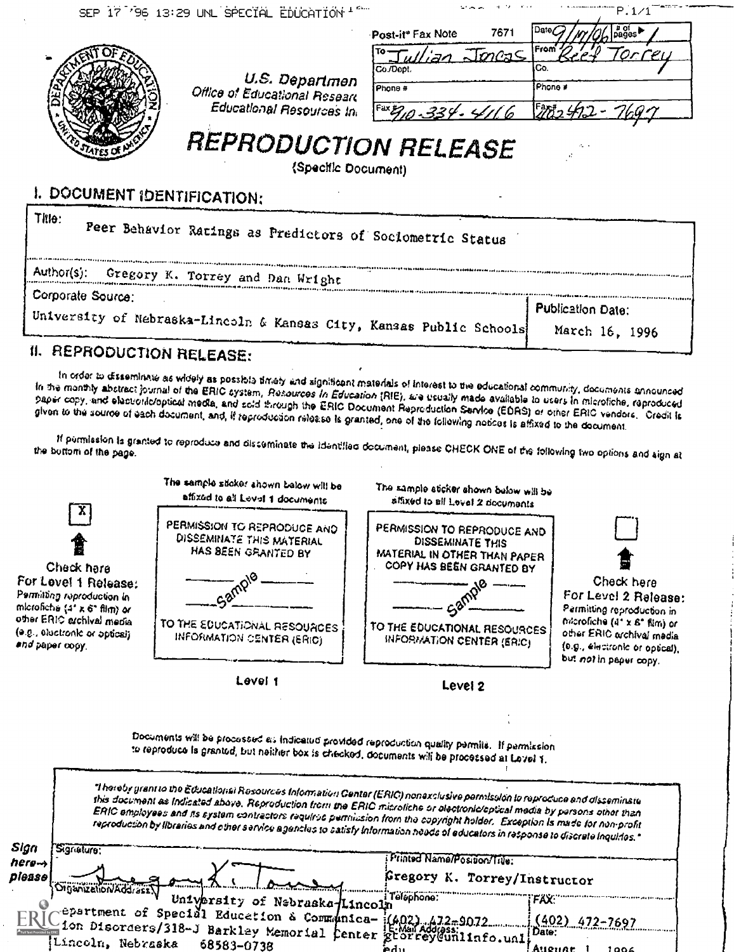| SEP 17 '96 13:29 UNL SPECIAL EDUCATION                                                   |                                                                                                                                                             | <b>SECTION</b><br>P.1/                    |  |  |  |  |
|------------------------------------------------------------------------------------------|-------------------------------------------------------------------------------------------------------------------------------------------------------------|-------------------------------------------|--|--|--|--|
|                                                                                          | Post-it* Fax Note<br>Whan Joness<br>Co./Dopt<br>U.S. Departmen<br>Phone #<br>Office of Educational Researc<br>Educational Resources In<br>$F^{ax} = 334.41$ | Date<br>7671<br> From<br>lCo.<br>iPhone # |  |  |  |  |
|                                                                                          | <b>REPRODUCTION RELEASE</b><br>(Specific Document)                                                                                                          |                                           |  |  |  |  |
| I. DOCUMENT IDENTIFICATION:                                                              |                                                                                                                                                             |                                           |  |  |  |  |
| Tille:<br>Peer Behavior Ratings as Predictors of Sociometric Status                      |                                                                                                                                                             |                                           |  |  |  |  |
| Author(s): Gregory K. Torrey and Dan Wright                                              |                                                                                                                                                             |                                           |  |  |  |  |
| Corporate Source:<br>University of Nebraska-Lincoln & Kansas City, Kansas Public Schools | Publication Date:                                                                                                                                           |                                           |  |  |  |  |
|                                                                                          |                                                                                                                                                             | March 16, 1996                            |  |  |  |  |

# II. REPRODUCTION RELEASE:

In order to disseminate as widely as possible their una tigniticant materials of interest to the educational community, documents announced<br>In the monthy abstract journal of the ERIC system, Resources in Education (RIE), a paper copy, and elasticulation of the Crip System, Hassuress in Education (RIE), are usually made available to users in microfiche, reproduced<br>given to the source of each document, and, if reproduction release is granted,

March 16, 1996

if permission is granted to reproduce and disseminate the identitied document, please CHECK ONE of the following two options and sign at the bottom of the page.

| $\mathbf{x}$                                                                                                                                                                      | The sample stoker shown below will be<br>affixed to all Level 1 documents                                                                                                                                                                                                                                                                                                                                                                                                                                                  | The sample sticker shown below will be<br>affixed to all Lovel 2 documents                                                                                                             |                                                                                                                                                                                           |
|-----------------------------------------------------------------------------------------------------------------------------------------------------------------------------------|----------------------------------------------------------------------------------------------------------------------------------------------------------------------------------------------------------------------------------------------------------------------------------------------------------------------------------------------------------------------------------------------------------------------------------------------------------------------------------------------------------------------------|----------------------------------------------------------------------------------------------------------------------------------------------------------------------------------------|-------------------------------------------------------------------------------------------------------------------------------------------------------------------------------------------|
| Check hare<br>For Lovel 1 Release:<br>Permitting reproduction in<br>microfiche (4° x 6° film) or<br>other ERIC exchival media<br>(e.g., electronic or optical)<br>and paper copy. | PERMISSION TO REPRODUCE AND<br>DISSEMINATE THIS MATERIAL<br>HAS BEEN GRANTED BY<br>TO THE EDUCATIONAL RESOURCES<br><b>INFORMATION CENTER (ERIC)</b>                                                                                                                                                                                                                                                                                                                                                                        | PERMISSION TO REPRODUCE AND<br><b>DISSEMINATE THIS</b><br>MATERIAL IN OTHER THAN PAPER<br>COPY HAS BEEN GRANTED BY<br>TO THE EDUCATIONAL RESOURCES<br><b>INFORMATION CENTER (ERIC)</b> | Check here<br>For Level 2 Release:<br>Permitting reproduction in<br>microfiche (4° x 6° film) or<br>other ERIC archival media<br>(0.g., électronic or optical),<br>but not in paper copy. |
|                                                                                                                                                                                   | Level 1                                                                                                                                                                                                                                                                                                                                                                                                                                                                                                                    | Level 2                                                                                                                                                                                |                                                                                                                                                                                           |
|                                                                                                                                                                                   | Documents will be processed as indicated provided reproduction quality permits. If permission<br>to reproduce is granted, but neither box is checked, documents will be processed at Lavel 1.                                                                                                                                                                                                                                                                                                                              |                                                                                                                                                                                        |                                                                                                                                                                                           |
|                                                                                                                                                                                   | "I hereby grant to the Educational Resources Information Genter (ERIC) nonexclusive permission to reproduce and disseminate<br>this document as Indicated above. Reproduction from the ERIC microliche or electronic/optical media by persons ether than<br>ERIC employees and its system contractors required permission from the copyright helder. Exception is made for nemprofit<br>reproduction by libraries and cther service agencies to satisfy information needs of educators in response to discrete inquiries." |                                                                                                                                                                                        |                                                                                                                                                                                           |
| Sign<br>Signature:<br>hera ->                                                                                                                                                     |                                                                                                                                                                                                                                                                                                                                                                                                                                                                                                                            | Printed Name/Position/Title:                                                                                                                                                           |                                                                                                                                                                                           |

please Organization/Address University of Nebraska-Lincoln Telephone: epartment of Special Education & Communica-14 1on Disorders/318-J Barkley Memorial Center Lincoln, Nebraska 68583-0738 iFregory K. Torrey/Instructor  $\text{Inco1}_n^{\text{I+GUPPORO}}$ :  $\text{FAX:}$  incol  $nca (402)$   $472-2697$   $(402)$  472-7697 et or rey Gunlinfo.unli Date: ierlii .Attennt <sup>I</sup> toot;